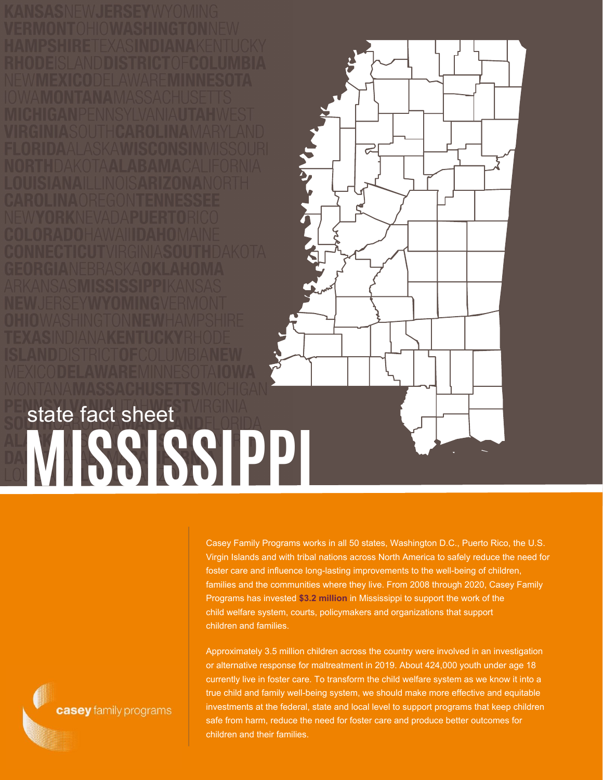**MISSISSIPPI** state fact sheet

> Casey Family Programs works in all 50 states, Washington D.C., Puerto Rico, the U.S. Virgin Islands and with tribal nations across North America to safely reduce the need for foster care and influence long-lasting improvements to the well-being of children, families and the communities where they live. From 2008 through 2020, Casey Family Programs has invested **\$3.2 million** in Mississippi to support the work of the child welfare system, courts, policymakers and organizations that support children and families.

 $\sigma$ 

Approximately 3.5 million children across the country were involved in an investigation or alternative response for maltreatment in 2019. About 424,000 youth under age 18 currently live in foster care. To transform the child welfare system as we know it into a true child and family well-being system, we should make more effective and equitable investments at the federal, state and local level to support programs that keep children safe from harm, reduce the need for foster care and produce better outcomes for children and their families.

casey family programs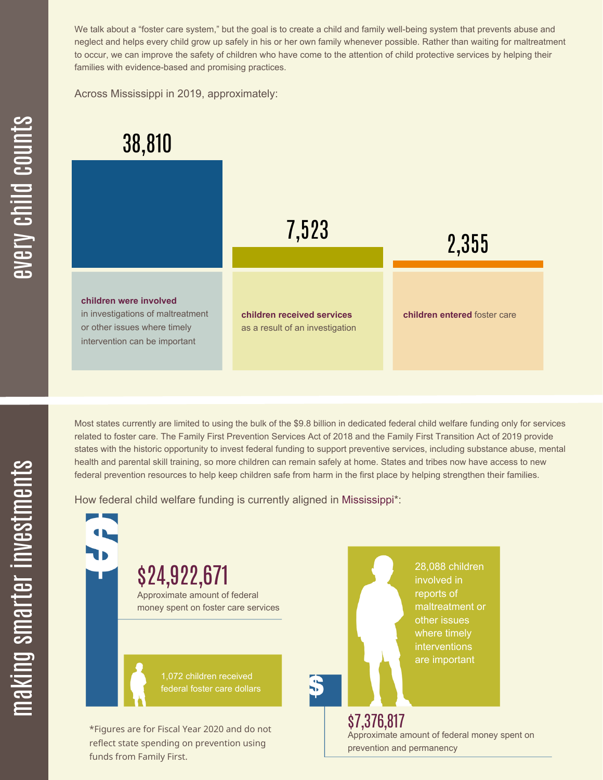We talk about a "foster care system," but the goal is to create a child and family well-being system that prevents abuse and neglect and helps every child grow up safely in his or her own family whenever possible. Rather than waiting for maltreatment to occur, we can improve the safety of children who have come to the attention of child protective services by helping their families with evidence-based and promising practices.

Across Mississippi in 2019, approximately:



Most states currently are limited to using the bulk of the \$9.8 billion in dedicated federal child welfare funding only for services related to foster care. The Family First Prevention Services Act of 2018 and the Family First Transition Act of 2019 provide states with the historic opportunity to invest federal funding to support preventive services, including substance abuse, mental health and parental skill training, so more children can remain safely at home. States and tribes now have access to new federal prevention resources to help keep children safe from harm in the first place by helping strengthen their families.

How federal child welfare funding is currently aligned in Mississippi\*:

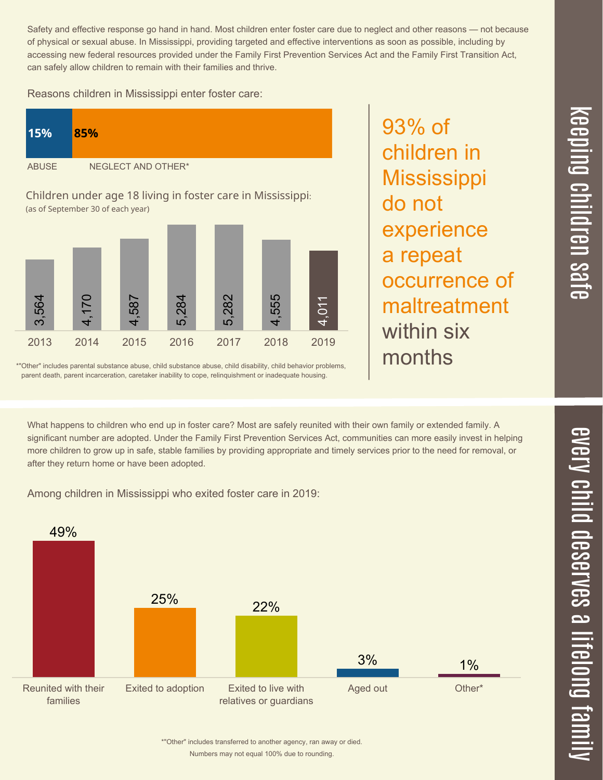$\overline{\phantom{1}}$  $\overline{\mathbf \Theta}$  $\overline{\mathbf{C}}$ <u>pin</u>  $\overline{\mathbf{C}}$  $\overline{\mathbf{C}}$  $\equiv$  $\overline{\mathbf{c}}$  $\overline{\phantom{0}}$  $\boldsymbol{\mathcal{O}}$ a  $\overrightarrow{\mathbf{e}}$ 

Safety and effective response go hand in hand. Most children enter foster care due to neglect and other reasons — not because of physical or sexual abuse. In Mississippi, providing targeted and effective interventions as soon as possible, including by accessing new federal resources provided under the Family First Prevention Services Act and the Family First Transition Act, can safely allow children to remain with their families and thrive.

93% of

do not

children in

**Mississippi** 

experience

occurrence of

maltreatment

a repeat

within six

months

Reasons children in Mississippi enter foster care:



\*"Other" includes parental substance abuse, child substance abuse, child disability, child behavior problems, parent death, parent incarceration, caretaker inability to cope, relinquishment or inadequate housing.

What happens to children who end up in foster care? Most are safely reunited with their own family or extended family. A significant number are adopted. Under the Family First Prevention Services Act, communities can more easily invest in helping more children to grow up in safe, stable families by providing appropriate and timely services prior to the need for removal, or after they return home or have been adopted.

Among children in Mississippi who exited foster care in 2019:



Numbers may not equal 100% due to rounding. \*"Other" includes transferred to another agency, ran away or died.